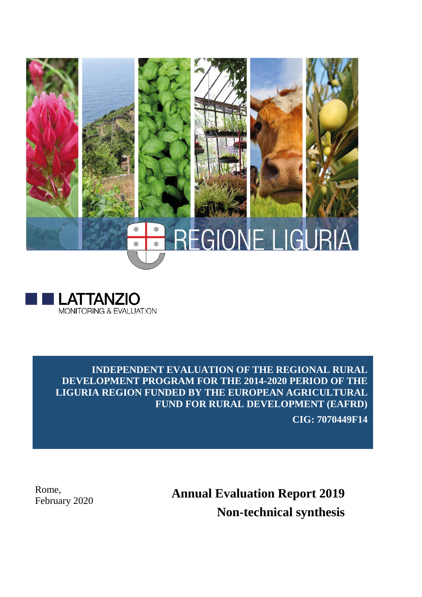



**INDEPENDENT EVALUATION OF THE REGIONAL RURAL DEVELOPMENT PROGRAM FOR THE 2014-2020 PERIOD OF THE LIGURIA REGION FUNDED BY THE EUROPEAN AGRICULTURAL FUND FOR RURAL DEVELOPMENT (EAFRD)**

**CIG: 7070449F14**

Rome,

Rome,<br>February 2020 **Annual Evaluation Report 2019 Non-technical synthesis**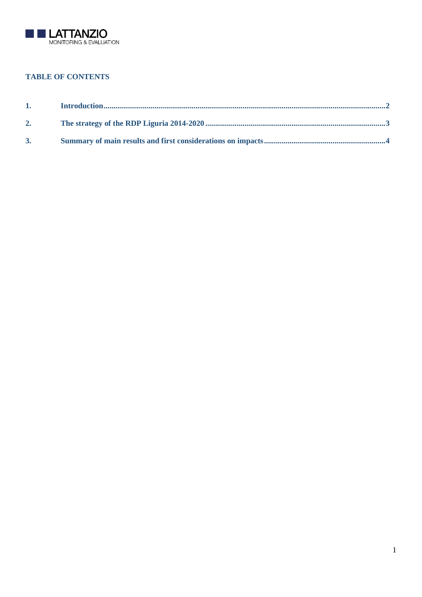

# **TABLE OF CONTENTS**

| 1. |  |
|----|--|
| 2. |  |
| 3. |  |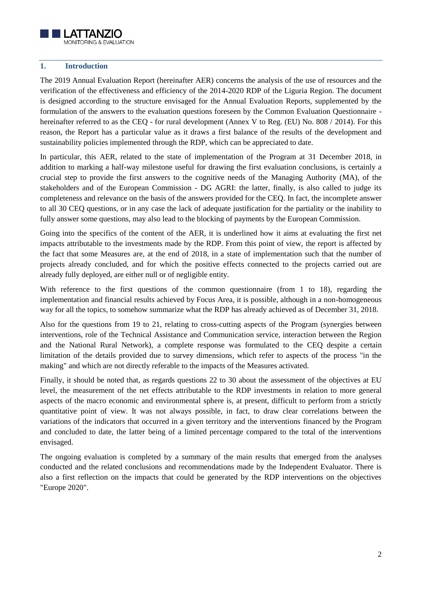

#### <span id="page-2-0"></span>**1. Introduction**

The 2019 Annual Evaluation Report (hereinafter AER) concerns the analysis of the use of resources and the verification of the effectiveness and efficiency of the 2014-2020 RDP of the Liguria Region. The document is designed according to the structure envisaged for the Annual Evaluation Reports, supplemented by the formulation of the answers to the evaluation questions foreseen by the Common Evaluation Questionnaire hereinafter referred to as the CEQ - for rural development (Annex V to Reg. (EU) No. 808 / 2014). For this reason, the Report has a particular value as it draws a first balance of the results of the development and sustainability policies implemented through the RDP, which can be appreciated to date.

In particular, this AER, related to the state of implementation of the Program at 31 December 2018, in addition to marking a half-way milestone useful for drawing the first evaluation conclusions, is certainly a crucial step to provide the first answers to the cognitive needs of the Managing Authority (MA), of the stakeholders and of the European Commission - DG AGRI: the latter, finally, is also called to judge its completeness and relevance on the basis of the answers provided for the CEQ. In fact, the incomplete answer to all 30 CEQ questions, or in any case the lack of adequate justification for the partiality or the inability to fully answer some questions, may also lead to the blocking of payments by the European Commission.

Going into the specifics of the content of the AER, it is underlined how it aims at evaluating the first net impacts attributable to the investments made by the RDP. From this point of view, the report is affected by the fact that some Measures are, at the end of 2018, in a state of implementation such that the number of projects already concluded, and for which the positive effects connected to the projects carried out are already fully deployed, are either null or of negligible entity.

With reference to the first questions of the common questionnaire (from 1 to 18), regarding the implementation and financial results achieved by Focus Area, it is possible, although in a non-homogeneous way for all the topics, to somehow summarize what the RDP has already achieved as of December 31, 2018.

Also for the questions from 19 to 21, relating to cross-cutting aspects of the Program (synergies between interventions, role of the Technical Assistance and Communication service, interaction between the Region and the National Rural Network), a complete response was formulated to the CEQ despite a certain limitation of the details provided due to survey dimensions, which refer to aspects of the process "in the making" and which are not directly referable to the impacts of the Measures activated.

Finally, it should be noted that, as regards questions 22 to 30 about the assessment of the objectives at EU level, the measurement of the net effects attributable to the RDP investments in relation to more general aspects of the macro economic and environmental sphere is, at present, difficult to perform from a strictly quantitative point of view. It was not always possible, in fact, to draw clear correlations between the variations of the indicators that occurred in a given territory and the interventions financed by the Program and concluded to date, the latter being of a limited percentage compared to the total of the interventions envisaged.

The ongoing evaluation is completed by a summary of the main results that emerged from the analyses conducted and the related conclusions and recommendations made by the Independent Evaluator. There is also a first reflection on the impacts that could be generated by the RDP interventions on the objectives "Europe 2020".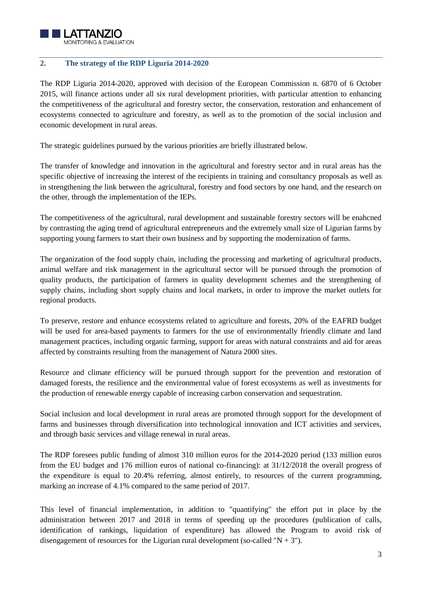

#### <span id="page-3-0"></span>**2. The strategy of the RDP Liguria 2014-2020**

The RDP Liguria 2014-2020, approved with decision of the European Commission n. 6870 of 6 October 2015, will finance actions under all six rural development priorities, with particular attention to enhancing the competitiveness of the agricultural and forestry sector, the conservation, restoration and enhancement of ecosystems connected to agriculture and forestry, as well as to the promotion of the social inclusion and economic development in rural areas.

The strategic guidelines pursued by the various priorities are briefly illustrated below.

The transfer of knowledge and innovation in the agricultural and forestry sector and in rural areas has the specific objective of increasing the interest of the recipients in training and consultancy proposals as well as in strengthening the link between the agricultural, forestry and food sectors by one hand, and the research on the other, through the implementation of the IEPs.

The competitiveness of the agricultural, rural development and sustainable forestry sectors will be enahcned by contrasting the aging trend of agricultural entrepreneurs and the extremely small size of Ligurian farms by supporting young farmers to start their own business and by supporting the modernization of farms.

The organization of the food supply chain, including the processing and marketing of agricultural products, animal welfare and risk management in the agricultural sector will be pursued through the promotion of quality products, the participation of farmers in quality development schemes and the strengthening of supply chains, including short supply chains and local markets, in order to improve the market outlets for regional products.

To preserve, restore and enhance ecosystems related to agriculture and forests, 20% of the EAFRD budget will be used for area-based payments to farmers for the use of environmentally friendly climate and land management practices, including organic farming, support for areas with natural constraints and aid for areas affected by constraints resulting from the management of Natura 2000 sites.

Resource and climate efficiency will be pursued through support for the prevention and restoration of damaged forests, the resilience and the environmental value of forest ecosystems as well as investments for the production of renewable energy capable of increasing carbon conservation and sequestration.

Social inclusion and local development in rural areas are promoted through support for the development of farms and businesses through diversification into technological innovation and ICT activities and services, and through basic services and village renewal in rural areas.

The RDP foresees public funding of almost 310 million euros for the 2014-2020 period (133 million euros from the EU budget and 176 million euros of national co-financing): at 31/12/2018 the overall progress of the expenditure is equal to 20.4% referring, almost entirely, to resources of the current programming, marking an increase of 4.1% compared to the same period of 2017.

This level of financial implementation, in addition to "quantifying" the effort put in place by the administration between 2017 and 2018 in terms of speeding up the procedures (publication of calls, identification of rankings, liquidation of expenditure) has allowed the Program to avoid risk of disengagement of resources for the Ligurian rural development (so-called "N  $+ 3$ ").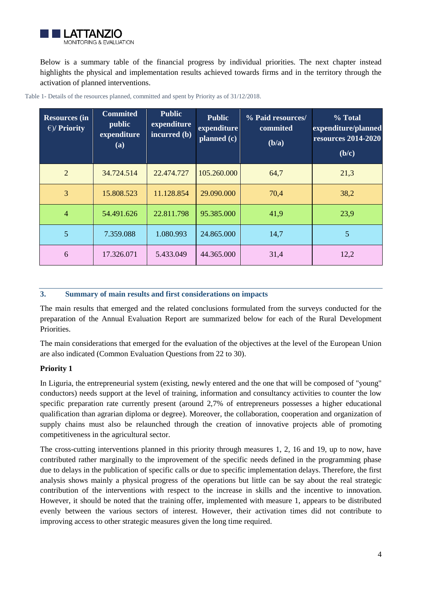

Below is a summary table of the financial progress by individual priorities. The next chapter instead highlights the physical and implementation results achieved towards firms and in the territory through the activation of planned interventions.

| <b>Resources (in</b><br>$\epsilon$ )/ Priority | <b>Commited</b><br>public<br>expenditure<br>(a) | <b>Public</b><br>expenditure<br>incurred (b) | <b>Public</b><br>expenditure<br>planned (c) | % Paid resources/<br>commited<br>(b/a) | % Total<br>expenditure/planned<br><b>resources 2014-2020</b><br>(b/c) |
|------------------------------------------------|-------------------------------------------------|----------------------------------------------|---------------------------------------------|----------------------------------------|-----------------------------------------------------------------------|
| $\overline{2}$                                 | 34.724.514                                      | 22.474.727                                   | 105.260.000                                 | 64,7                                   | 21,3                                                                  |
| 3                                              | 15.808.523                                      | 11.128.854                                   | 29.090.000                                  | 70,4                                   | 38,2                                                                  |
| $\overline{4}$                                 | 54.491.626                                      | 22.811.798                                   | 95.385.000                                  | 41,9                                   | 23,9                                                                  |
| 5                                              | 7.359.088                                       | 1.080.993                                    | 24.865.000                                  | 14,7                                   | 5                                                                     |
| 6                                              | 17.326.071                                      | 5.433.049                                    | 44.365.000                                  | 31,4                                   | 12,2                                                                  |

Table 1- Details of the resources planned, committed and spent by Priority as of 31/12/2018.

#### <span id="page-4-0"></span>**3. Summary of main results and first considerations on impacts**

The main results that emerged and the related conclusions formulated from the surveys conducted for the preparation of the Annual Evaluation Report are summarized below for each of the Rural Development Priorities.

The main considerations that emerged for the evaluation of the objectives at the level of the European Union are also indicated (Common Evaluation Questions from 22 to 30).

### **Priority 1**

In Liguria, the entrepreneurial system (existing, newly entered and the one that will be composed of "young" conductors) needs support at the level of training, information and consultancy activities to counter the low specific preparation rate currently present (around 2,7% of entrepreneurs possesses a higher educational qualification than agrarian diploma or degree). Moreover, the collaboration, cooperation and organization of supply chains must also be relaunched through the creation of innovative projects able of promoting competitiveness in the agricultural sector.

The cross-cutting interventions planned in this priority through measures 1, 2, 16 and 19, up to now, have contributed rather marginally to the improvement of the specific needs defined in the programming phase due to delays in the publication of specific calls or due to specific implementation delays. Therefore, the first analysis shows mainly a physical progress of the operations but little can be say about the real strategic contribution of the interventions with respect to the increase in skills and the incentive to innovation. However, it should be noted that the training offer, implemented with measure 1, appears to be distributed evenly between the various sectors of interest. However, their activation times did not contribute to improving access to other strategic measures given the long time required.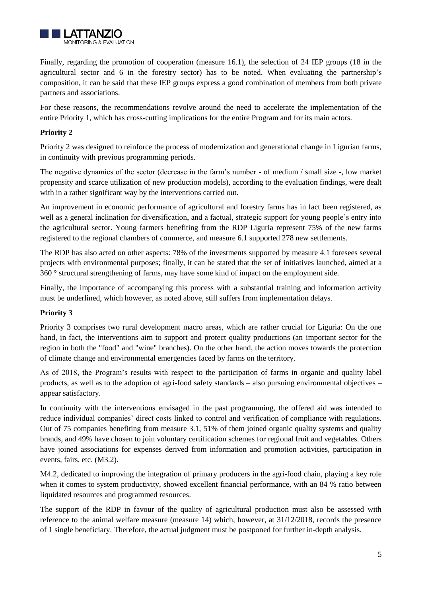

Finally, regarding the promotion of cooperation (measure 16.1), the selection of 24 IEP groups (18 in the agricultural sector and 6 in the forestry sector) has to be noted. When evaluating the partnership's composition, it can be said that these IEP groups express a good combination of members from both private partners and associations.

For these reasons, the recommendations revolve around the need to accelerate the implementation of the entire Priority 1, which has cross-cutting implications for the entire Program and for its main actors.

## **Priority 2**

Priority 2 was designed to reinforce the process of modernization and generational change in Ligurian farms, in continuity with previous programming periods.

The negative dynamics of the sector (decrease in the farm's number - of medium / small size -, low market propensity and scarce utilization of new production models), according to the evaluation findings, were dealt with in a rather significant way by the interventions carried out.

An improvement in economic performance of agricultural and forestry farms has in fact been registered, as well as a general inclination for diversification, and a factual, strategic support for young people's entry into the agricultural sector. Young farmers benefiting from the RDP Liguria represent 75% of the new farms registered to the regional chambers of commerce, and measure 6.1 supported 278 new settlements.

The RDP has also acted on other aspects: 78% of the investments supported by measure 4.1 foresees several projects with environmental purposes; finally, it can be stated that the set of initiatives launched, aimed at a 360 ° structural strengthening of farms, may have some kind of impact on the employment side.

Finally, the importance of accompanying this process with a substantial training and information activity must be underlined, which however, as noted above, still suffers from implementation delays.

### **Priority 3**

Priority 3 comprises two rural development macro areas, which are rather crucial for Liguria: On the one hand, in fact, the interventions aim to support and protect quality productions (an important sector for the region in both the "food" and "wine" branches). On the other hand, the action moves towards the protection of climate change and environmental emergencies faced by farms on the territory.

As of 2018, the Program's results with respect to the participation of farms in organic and quality label products, as well as to the adoption of agri-food safety standards – also pursuing environmental objectives – appear satisfactory.

In continuity with the interventions envisaged in the past programming, the offered aid was intended to reduce individual companies' direct costs linked to control and verification of compliance with regulations. Out of 75 companies benefiting from measure 3.1, 51% of them joined organic quality systems and quality brands, and 49% have chosen to join voluntary certification schemes for regional fruit and vegetables. Others have joined associations for expenses derived from information and promotion activities, participation in events, fairs, etc. (M3.2).

M4.2, dedicated to improving the integration of primary producers in the agri-food chain, playing a key role when it comes to system productivity, showed excellent financial performance, with an 84 % ratio between liquidated resources and programmed resources.

The support of the RDP in favour of the quality of agricultural production must also be assessed with reference to the animal welfare measure (measure 14) which, however, at 31/12/2018, records the presence of 1 single beneficiary. Therefore, the actual judgment must be postponed for further in-depth analysis.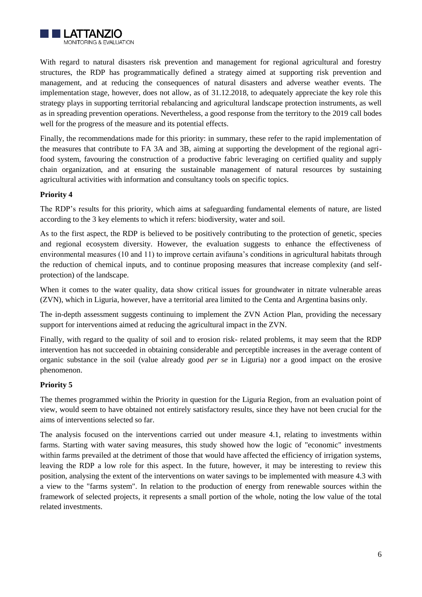

With regard to natural disasters risk prevention and management for regional agricultural and forestry structures, the RDP has programmatically defined a strategy aimed at supporting risk prevention and management, and at reducing the consequences of natural disasters and adverse weather events. The implementation stage, however, does not allow, as of 31.12.2018, to adequately appreciate the key role this strategy plays in supporting territorial rebalancing and agricultural landscape protection instruments, as well as in spreading prevention operations. Nevertheless, a good response from the territory to the 2019 call bodes well for the progress of the measure and its potential effects.

Finally, the recommendations made for this priority: in summary, these refer to the rapid implementation of the measures that contribute to FA 3A and 3B, aiming at supporting the development of the regional agrifood system, favouring the construction of a productive fabric leveraging on certified quality and supply chain organization, and at ensuring the sustainable management of natural resources by sustaining agricultural activities with information and consultancy tools on specific topics.

### **Priority 4**

The RDP's results for this priority, which aims at safeguarding fundamental elements of nature, are listed according to the 3 key elements to which it refers: biodiversity, water and soil.

As to the first aspect, the RDP is believed to be positively contributing to the protection of genetic, species and regional ecosystem diversity. However, the evaluation suggests to enhance the effectiveness of environmental measures (10 and 11) to improve certain avifauna's conditions in agricultural habitats through the reduction of chemical inputs, and to continue proposing measures that increase complexity (and selfprotection) of the landscape.

When it comes to the water quality, data show critical issues for groundwater in nitrate vulnerable areas (ZVN), which in Liguria, however, have a territorial area limited to the Centa and Argentina basins only.

The in-depth assessment suggests continuing to implement the ZVN Action Plan, providing the necessary support for interventions aimed at reducing the agricultural impact in the ZVN.

Finally, with regard to the quality of soil and to erosion risk- related problems, it may seem that the RDP intervention has not succeeded in obtaining considerable and perceptible increases in the average content of organic substance in the soil (value already good *per se* in Liguria) nor a good impact on the erosive phenomenon.

### **Priority 5**

The themes programmed within the Priority in question for the Liguria Region, from an evaluation point of view, would seem to have obtained not entirely satisfactory results, since they have not been crucial for the aims of interventions selected so far.

The analysis focused on the interventions carried out under measure 4.1, relating to investments within farms. Starting with water saving measures, this study showed how the logic of "economic" investments within farms prevailed at the detriment of those that would have affected the efficiency of irrigation systems, leaving the RDP a low role for this aspect. In the future, however, it may be interesting to review this position, analysing the extent of the interventions on water savings to be implemented with measure 4.3 with a view to the "farms system". In relation to the production of energy from renewable sources within the framework of selected projects, it represents a small portion of the whole, noting the low value of the total related investments.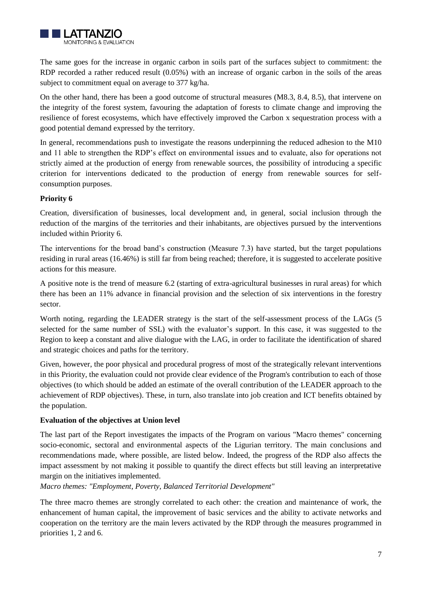

The same goes for the increase in organic carbon in soils part of the surfaces subject to commitment: the RDP recorded a rather reduced result (0.05%) with an increase of organic carbon in the soils of the areas subject to commitment equal on average to 377 kg/ha.

On the other hand, there has been a good outcome of structural measures (M8.3, 8.4, 8.5), that intervene on the integrity of the forest system, favouring the adaptation of forests to climate change and improving the resilience of forest ecosystems, which have effectively improved the Carbon x sequestration process with a good potential demand expressed by the territory.

In general, recommendations push to investigate the reasons underpinning the reduced adhesion to the M10 and 11 able to strengthen the RDP's effect on environmental issues and to evaluate, also for operations not strictly aimed at the production of energy from renewable sources, the possibility of introducing a specific criterion for interventions dedicated to the production of energy from renewable sources for selfconsumption purposes.

## **Priority 6**

Creation, diversification of businesses, local development and, in general, social inclusion through the reduction of the margins of the territories and their inhabitants, are objectives pursued by the interventions included within Priority 6.

The interventions for the broad band's construction (Measure 7.3) have started, but the target populations residing in rural areas (16.46%) is still far from being reached; therefore, it is suggested to accelerate positive actions for this measure.

A positive note is the trend of measure 6.2 (starting of extra-agricultural businesses in rural areas) for which there has been an 11% advance in financial provision and the selection of six interventions in the forestry sector.

Worth noting, regarding the LEADER strategy is the start of the self-assessment process of the LAGs (5 selected for the same number of SSL) with the evaluator's support. In this case, it was suggested to the Region to keep a constant and alive dialogue with the LAG, in order to facilitate the identification of shared and strategic choices and paths for the territory.

Given, however, the poor physical and procedural progress of most of the strategically relevant interventions in this Priority, the evaluation could not provide clear evidence of the Program's contribution to each of those objectives (to which should be added an estimate of the overall contribution of the LEADER approach to the achievement of RDP objectives). These, in turn, also translate into job creation and ICT benefits obtained by the population.

#### **Evaluation of the objectives at Union level**

The last part of the Report investigates the impacts of the Program on various "Macro themes" concerning socio-economic, sectoral and environmental aspects of the Ligurian territory. The main conclusions and recommendations made, where possible, are listed below. Indeed, the progress of the RDP also affects the impact assessment by not making it possible to quantify the direct effects but still leaving an interpretative margin on the initiatives implemented.

*Macro themes: "Employment, Poverty, Balanced Territorial Development"*

The three macro themes are strongly correlated to each other: the creation and maintenance of work, the enhancement of human capital, the improvement of basic services and the ability to activate networks and cooperation on the territory are the main levers activated by the RDP through the measures programmed in priorities 1, 2 and 6.